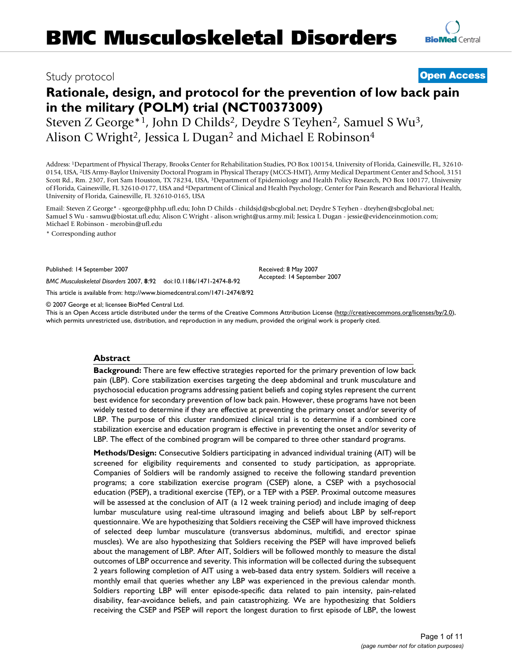## Study protocol **[Open Access](http://www.biomedcentral.com/info/about/charter/)**

# **Rationale, design, and protocol for the prevention of low back pain in the military (POLM) trial (NCT00373009)**

Steven Z George\*1, John D Childs<sup>2</sup>, Deydre S Teyhen<sup>2</sup>, Samuel S Wu<sup>3</sup>, Alison C Wright<sup>2</sup>, Jessica L Dugan<sup>2</sup> and Michael E Robinson<sup>4</sup>

Address: 1Department of Physical Therapy, Brooks Center for Rehabilitation Studies, PO Box 100154, University of Florida, Gainesville, FL, 32610- 0154, USA, 2US Army-Baylor University Doctoral Program in Physical Therapy (MCCS-HMT), Army Medical Department Center and School, 3151 Scott Rd., Rm. 2307, Fort Sam Houston, TX 78234, USA, 3Department of Epidemiology and Health Policy Research, PO Box 100177, University of Florida, Gainesville, FL 32610-0177, USA and 4Department of Clinical and Health Psychology, Center for Pain Research and Behavioral Health, University of Florida, Gainesville, FL 32610-0165, USA

Email: Steven Z George\* - sgeorge@phhp.ufl.edu; John D Childs - childsjd@sbcglobal.net; Deydre S Teyhen - dteyhen@sbcglobal.net; Samuel S Wu - samwu@biostat.ufl.edu; Alison C Wright - alison.wright@us.army.mil; Jessica L Dugan - jessie@evidenceinmotion.com; Michael E Robinson - merobin@ufl.edu

\* Corresponding author

Published: 14 September 2007

*BMC Musculoskeletal Disorders* 2007, **8**:92 doi:10.1186/1471-2474-8-92

[This article is available from: http://www.biomedcentral.com/1471-2474/8/92](http://www.biomedcentral.com/1471-2474/8/92)

© 2007 George et al; licensee BioMed Central Ltd.

This is an Open Access article distributed under the terms of the Creative Commons Attribution License [\(http://creativecommons.org/licenses/by/2.0\)](http://creativecommons.org/licenses/by/2.0), which permits unrestricted use, distribution, and reproduction in any medium, provided the original work is properly cited.

Received: 8 May 2007 Accepted: 14 September 2007

## **Abstract**

**Background:** There are few effective strategies reported for the primary prevention of low back pain (LBP). Core stabilization exercises targeting the deep abdominal and trunk musculature and psychosocial education programs addressing patient beliefs and coping styles represent the current best evidence for secondary prevention of low back pain. However, these programs have not been widely tested to determine if they are effective at preventing the primary onset and/or severity of LBP. The purpose of this cluster randomized clinical trial is to determine if a combined core stabilization exercise and education program is effective in preventing the onset and/or severity of LBP. The effect of the combined program will be compared to three other standard programs.

**Methods/Design:** Consecutive Soldiers participating in advanced individual training (AIT) will be screened for eligibility requirements and consented to study participation, as appropriate. Companies of Soldiers will be randomly assigned to receive the following standard prevention programs; a core stabilization exercise program (CSEP) alone, a CSEP with a psychosocial education (PSEP), a traditional exercise (TEP), or a TEP with a PSEP. Proximal outcome measures will be assessed at the conclusion of AIT (a 12 week training period) and include imaging of deep lumbar musculature using real-time ultrasound imaging and beliefs about LBP by self-report questionnaire. We are hypothesizing that Soldiers receiving the CSEP will have improved thickness of selected deep lumbar musculature (transversus abdominus, multifidi, and erector spinae muscles). We are also hypothesizing that Soldiers receiving the PSEP will have improved beliefs about the management of LBP. After AIT, Soldiers will be followed monthly to measure the distal outcomes of LBP occurrence and severity. This information will be collected during the subsequent 2 years following completion of AIT using a web-based data entry system. Soldiers will receive a monthly email that queries whether any LBP was experienced in the previous calendar month. Soldiers reporting LBP will enter episode-specific data related to pain intensity, pain-related disability, fear-avoidance beliefs, and pain catastrophizing. We are hypothesizing that Soldiers receiving the CSEP and PSEP will report the longest duration to first episode of LBP, the lowest

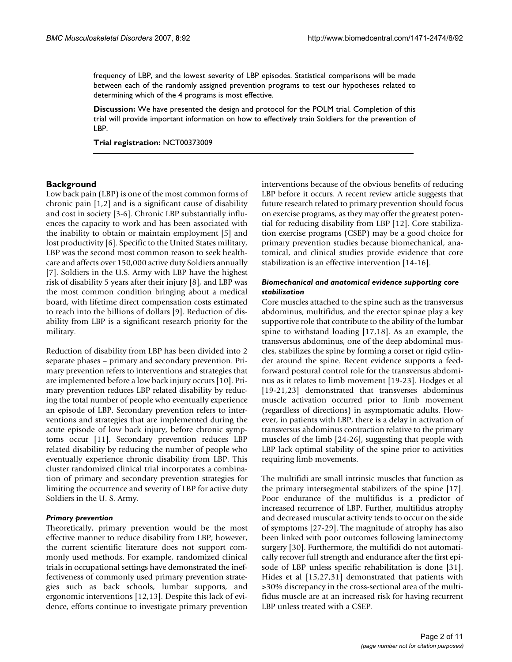frequency of LBP, and the lowest severity of LBP episodes. Statistical comparisons will be made between each of the randomly assigned prevention programs to test our hypotheses related to determining which of the 4 programs is most effective.

**Discussion:** We have presented the design and protocol for the POLM trial. Completion of this trial will provide important information on how to effectively train Soldiers for the prevention of LBP.

**Trial registration:** NCT00373009

#### **Background**

Low back pain (LBP) is one of the most common forms of chronic pain [1,2] and is a significant cause of disability and cost in society [3-6]. Chronic LBP substantially influences the capacity to work and has been associated with the inability to obtain or maintain employment [5] and lost productivity [6]. Specific to the United States military, LBP was the second most common reason to seek healthcare and affects over 150,000 active duty Soldiers annually [7]. Soldiers in the U.S. Army with LBP have the highest risk of disability 5 years after their injury [8], and LBP was the most common condition bringing about a medical board, with lifetime direct compensation costs estimated to reach into the billions of dollars [9]. Reduction of disability from LBP is a significant research priority for the military.

Reduction of disability from LBP has been divided into 2 separate phases – primary and secondary prevention. Primary prevention refers to interventions and strategies that are implemented before a low back injury occurs [10]. Primary prevention reduces LBP related disability by reducing the total number of people who eventually experience an episode of LBP. Secondary prevention refers to interventions and strategies that are implemented during the acute episode of low back injury, before chronic symptoms occur [11]. Secondary prevention reduces LBP related disability by reducing the number of people who eventually experience chronic disability from LBP. This cluster randomized clinical trial incorporates a combination of primary and secondary prevention strategies for limiting the occurrence and severity of LBP for active duty Soldiers in the U. S. Army.

#### *Primary prevention*

Theoretically, primary prevention would be the most effective manner to reduce disability from LBP; however, the current scientific literature does not support commonly used methods. For example, randomized clinical trials in occupational settings have demonstrated the ineffectiveness of commonly used primary prevention strategies such as back schools, lumbar supports, and ergonomic interventions [12,13]. Despite this lack of evidence, efforts continue to investigate primary prevention interventions because of the obvious benefits of reducing LBP before it occurs. A recent review article suggests that future research related to primary prevention should focus on exercise programs, as they may offer the greatest potential for reducing disability from LBP [12]. Core stabilization exercise programs (CSEP) may be a good choice for primary prevention studies because biomechanical, anatomical, and clinical studies provide evidence that core stabilization is an effective intervention [14-16].

## *Biomechanical and anatomical evidence supporting core stabilization*

Core muscles attached to the spine such as the transversus abdominus, multifidus, and the erector spinae play a key supportive role that contribute to the ability of the lumbar spine to withstand loading [17,18]. As an example, the transversus abdominus, one of the deep abdominal muscles, stabilizes the spine by forming a corset or rigid cylinder around the spine. Recent evidence supports a feedforward postural control role for the transversus abdominus as it relates to limb movement [19-23]. Hodges et al [19-21,23] demonstrated that transverses abdominus muscle activation occurred prior to limb movement (regardless of directions) in asymptomatic adults. However, in patients with LBP, there is a delay in activation of transversus abdominus contraction relative to the primary muscles of the limb [24-26], suggesting that people with LBP lack optimal stability of the spine prior to activities requiring limb movements.

The multifidi are small intrinsic muscles that function as the primary intersegmental stabilizers of the spine [17]. Poor endurance of the multifidus is a predictor of increased recurrence of LBP. Further, multifidus atrophy and decreased muscular activity tends to occur on the side of symptoms [27-29]. The magnitude of atrophy has also been linked with poor outcomes following laminectomy surgery [30]. Furthermore, the multifidi do not automatically recover full strength and endurance after the first episode of LBP unless specific rehabilitation is done [31]. Hides et al [15,27,31] demonstrated that patients with >30% discrepancy in the cross-sectional area of the multifidus muscle are at an increased risk for having recurrent LBP unless treated with a CSEP.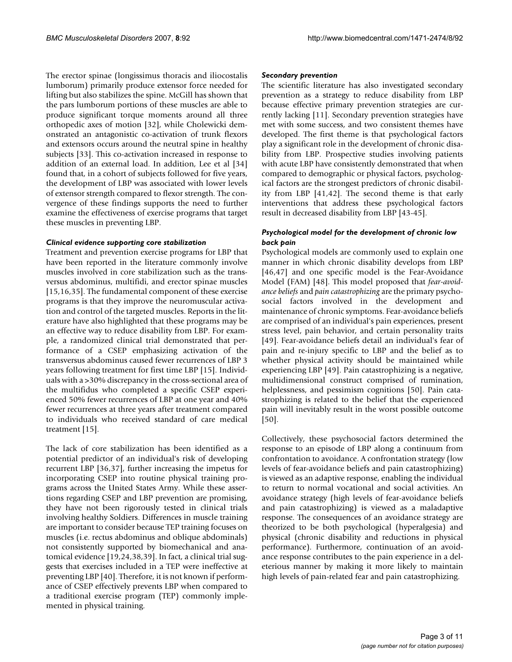The erector spinae (longissimus thoracis and iliocostalis lumborum) primarily produce extensor force needed for lifting but also stabilizes the spine. McGill has shown that the pars lumborum portions of these muscles are able to produce significant torque moments around all three orthopedic axes of motion [32], while Cholewicki demonstrated an antagonistic co-activation of trunk flexors and extensors occurs around the neutral spine in healthy subjects [33]. This co-activation increased in response to addition of an external load. In addition, Lee et al [34] found that, in a cohort of subjects followed for five years, the development of LBP was associated with lower levels of extensor strength compared to flexor strength. The convergence of these findings supports the need to further examine the effectiveness of exercise programs that target these muscles in preventing LBP.

#### *Clinical evidence supporting core stabilization*

Treatment and prevention exercise programs for LBP that have been reported in the literature commonly involve muscles involved in core stabilization such as the transversus abdominus, multifidi, and erector spinae muscles [15,16,35]. The fundamental component of these exercise programs is that they improve the neuromuscular activation and control of the targeted muscles. Reports in the literature have also highlighted that these programs may be an effective way to reduce disability from LBP. For example, a randomized clinical trial demonstrated that performance of a CSEP emphasizing activation of the transversus abdominus caused fewer recurrences of LBP 3 years following treatment for first time LBP [15]. Individuals with a >30% discrepancy in the cross-sectional area of the multifidus who completed a specific CSEP experienced 50% fewer recurrences of LBP at one year and 40% fewer recurrences at three years after treatment compared to individuals who received standard of care medical treatment [15].

The lack of core stabilization has been identified as a potential predictor of an individual's risk of developing recurrent LBP [36,37], further increasing the impetus for incorporating CSEP into routine physical training programs across the United States Army. While these assertions regarding CSEP and LBP prevention are promising, they have not been rigorously tested in clinical trials involving healthy Soldiers. Differences in muscle training are important to consider because TEP training focuses on muscles (i.e. rectus abdominus and oblique abdominals) not consistently supported by biomechanical and anatomical evidence [19,24,38,39]. In fact, a clinical trial suggests that exercises included in a TEP were ineffective at preventing LBP [40]. Therefore, it is not known if performance of CSEP effectively prevents LBP when compared to a traditional exercise program (TEP) commonly implemented in physical training.

#### *Secondary prevention*

The scientific literature has also investigated secondary prevention as a strategy to reduce disability from LBP because effective primary prevention strategies are currently lacking [11]. Secondary prevention strategies have met with some success, and two consistent themes have developed. The first theme is that psychological factors play a significant role in the development of chronic disability from LBP. Prospective studies involving patients with acute LBP have consistently demonstrated that when compared to demographic or physical factors, psychological factors are the strongest predictors of chronic disability from LBP [41,42]. The second theme is that early interventions that address these psychological factors result in decreased disability from LBP [43-45].

## *Psychological model for the development of chronic low back pain*

Psychological models are commonly used to explain one manner in which chronic disability develops from LBP [46,47] and one specific model is the Fear-Avoidance Model (FAM) [48]. This model proposed that *fear-avoidance beliefs* and *pain catastrophizing* are the primary psychosocial factors involved in the development and maintenance of chronic symptoms. Fear-avoidance beliefs are comprised of an individual's pain experiences, present stress level, pain behavior, and certain personality traits [49]. Fear-avoidance beliefs detail an individual's fear of pain and re-injury specific to LBP and the belief as to whether physical activity should be maintained while experiencing LBP [49]. Pain catastrophizing is a negative, multidimensional construct comprised of rumination, helplessness, and pessimism cognitions [50]. Pain catastrophizing is related to the belief that the experienced pain will inevitably result in the worst possible outcome [50].

Collectively, these psychosocial factors determined the response to an episode of LBP along a continuum from confrontation to avoidance. A confrontation strategy (low levels of fear-avoidance beliefs and pain catastrophizing) is viewed as an adaptive response, enabling the individual to return to normal vocational and social activities. An avoidance strategy (high levels of fear-avoidance beliefs and pain catastrophizing) is viewed as a maladaptive response. The consequences of an avoidance strategy are theorized to be both psychological (hyperalgesia) and physical (chronic disability and reductions in physical performance). Furthermore, continuation of an avoidance response contributes to the pain experience in a deleterious manner by making it more likely to maintain high levels of pain-related fear and pain catastrophizing.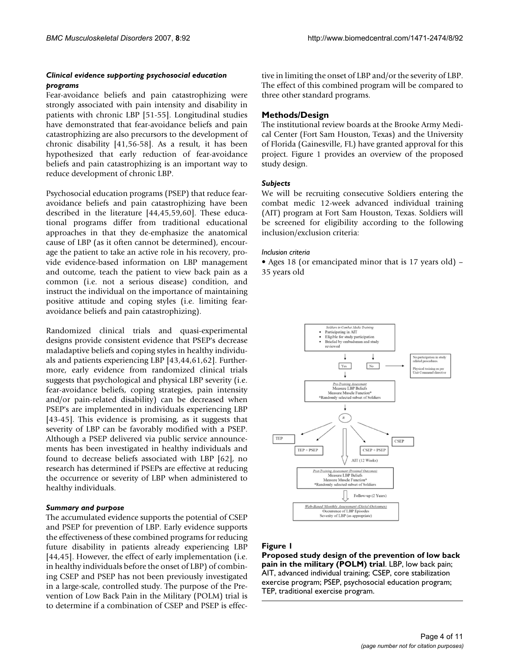## *Clinical evidence supporting psychosocial education programs*

Fear-avoidance beliefs and pain catastrophizing were strongly associated with pain intensity and disability in patients with chronic LBP [51-55]. Longitudinal studies have demonstrated that fear-avoidance beliefs and pain catastrophizing are also precursors to the development of chronic disability [41,56-58]. As a result, it has been hypothesized that early reduction of fear-avoidance beliefs and pain catastrophizing is an important way to reduce development of chronic LBP.

Psychosocial education programs (PSEP) that reduce fearavoidance beliefs and pain catastrophizing have been described in the literature [44,45,59,60]. These educational programs differ from traditional educational approaches in that they de-emphasize the anatomical cause of LBP (as it often cannot be determined), encourage the patient to take an active role in his recovery, provide evidence-based information on LBP management and outcome, teach the patient to view back pain as a common (i.e. not a serious disease) condition, and instruct the individual on the importance of maintaining positive attitude and coping styles (i.e. limiting fearavoidance beliefs and pain catastrophizing).

Randomized clinical trials and quasi-experimental designs provide consistent evidence that PSEP's decrease maladaptive beliefs and coping styles in healthy individuals and patients experiencing LBP [43,44,61,62]. Furthermore, early evidence from randomized clinical trials suggests that psychological and physical LBP severity (i.e. fear-avoidance beliefs, coping strategies, pain intensity and/or pain-related disability) can be decreased when PSEP's are implemented in individuals experiencing LBP [43-45]. This evidence is promising, as it suggests that severity of LBP can be favorably modified with a PSEP. Although a PSEP delivered via public service announcements has been investigated in healthy individuals and found to decrease beliefs associated with LBP [62], no research has determined if PSEPs are effective at reducing the occurrence or severity of LBP when administered to healthy individuals.

#### *Summary and purpose*

The accumulated evidence supports the potential of CSEP and PSEP for prevention of LBP. Early evidence supports the effectiveness of these combined programs for reducing future disability in patients already experiencing LBP [44,45]. However, the effect of early implementation (i.e. in healthy individuals before the onset of LBP) of combining CSEP and PSEP has not been previously investigated in a large-scale, controlled study. The purpose of the Prevention of Low Back Pain in the Military (POLM) trial is to determine if a combination of CSEP and PSEP is effective in limiting the onset of LBP and/or the severity of LBP. The effect of this combined program will be compared to three other standard programs.

## **Methods/Design**

The institutional review boards at the Brooke Army Medical Center (Fort Sam Houston, Texas) and the University of Florida (Gainesville, FL) have granted approval for this project. Figure 1 provides an overview of the proposed study design.

#### *Subjects*

We will be recruiting consecutive Soldiers entering the combat medic 12-week advanced individual training (AIT) program at Fort Sam Houston, Texas. Soldiers will be screened for eligibility according to the following inclusion/exclusion criteria:

#### *Inclusion criteria*

• Ages 18 (or emancipated minor that is 17 years old) – 35 years old



#### **Figure 1**

**Proposed study design of the prevention of low back pain in the military (POLM) trial**. LBP, low back pain; AIT, advanced individual training; CSEP, core stabilization exercise program; PSEP, psychosocial education program; TEP, traditional exercise program.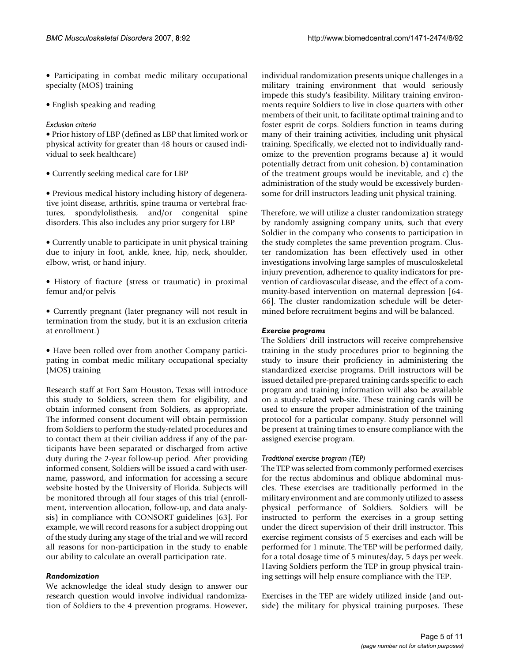- Participating in combat medic military occupational specialty (MOS) training
- English speaking and reading
- *Exclusion criteria*

• Prior history of LBP (defined as LBP that limited work or physical activity for greater than 48 hours or caused individual to seek healthcare)

• Currently seeking medical care for LBP

• Previous medical history including history of degenerative joint disease, arthritis, spine trauma or vertebral fractures, spondylolisthesis, and/or congenital spine disorders. This also includes any prior surgery for LBP

• Currently unable to participate in unit physical training due to injury in foot, ankle, knee, hip, neck, shoulder, elbow, wrist, or hand injury.

- History of fracture (stress or traumatic) in proximal femur and/or pelvis
- Currently pregnant (later pregnancy will not result in termination from the study, but it is an exclusion criteria at enrollment.)

• Have been rolled over from another Company participating in combat medic military occupational specialty (MOS) training

Research staff at Fort Sam Houston, Texas will introduce this study to Soldiers, screen them for eligibility, and obtain informed consent from Soldiers, as appropriate. The informed consent document will obtain permission from Soldiers to perform the study-related procedures and to contact them at their civilian address if any of the participants have been separated or discharged from active duty during the 2-year follow-up period. After providing informed consent, Soldiers will be issued a card with username, password, and information for accessing a secure website hosted by the University of Florida. Subjects will be monitored through all four stages of this trial (enrollment, intervention allocation, follow-up, and data analysis) in compliance with CONSORT guidelines [63]. For example, we will record reasons for a subject dropping out of the study during any stage of the trial and we will record all reasons for non-participation in the study to enable our ability to calculate an overall participation rate.

## *Randomization*

We acknowledge the ideal study design to answer our research question would involve individual randomization of Soldiers to the 4 prevention programs. However,

individual randomization presents unique challenges in a military training environment that would seriously impede this study's feasibility. Military training environments require Soldiers to live in close quarters with other members of their unit, to facilitate optimal training and to foster esprit de corps. Soldiers function in teams during many of their training activities, including unit physical training. Specifically, we elected not to individually randomize to the prevention programs because a) it would potentially detract from unit cohesion, b) contamination of the treatment groups would be inevitable, and c) the administration of the study would be excessively burdensome for drill instructors leading unit physical training.

Therefore, we will utilize a cluster randomization strategy by randomly assigning company units, such that every Soldier in the company who consents to participation in the study completes the same prevention program. Cluster randomization has been effectively used in other investigations involving large samples of musculoskeletal injury prevention, adherence to quality indicators for prevention of cardiovascular disease, and the effect of a community-based intervention on maternal depression [64- 66]. The cluster randomization schedule will be determined before recruitment begins and will be balanced.

## *Exercise programs*

The Soldiers' drill instructors will receive comprehensive training in the study procedures prior to beginning the study to insure their proficiency in administering the standardized exercise programs. Drill instructors will be issued detailed pre-prepared training cards specific to each program and training information will also be available on a study-related web-site. These training cards will be used to ensure the proper administration of the training protocol for a particular company. Study personnel will be present at training times to ensure compliance with the assigned exercise program.

## *Traditional exercise program (TEP)*

The TEP was selected from commonly performed exercises for the rectus abdominus and oblique abdominal muscles. These exercises are traditionally performed in the military environment and are commonly utilized to assess physical performance of Soldiers. Soldiers will be instructed to perform the exercises in a group setting under the direct supervision of their drill instructor. This exercise regiment consists of 5 exercises and each will be performed for 1 minute. The TEP will be performed daily, for a total dosage time of 5 minutes/day, 5 days per week. Having Soldiers perform the TEP in group physical training settings will help ensure compliance with the TEP.

Exercises in the TEP are widely utilized inside (and outside) the military for physical training purposes. These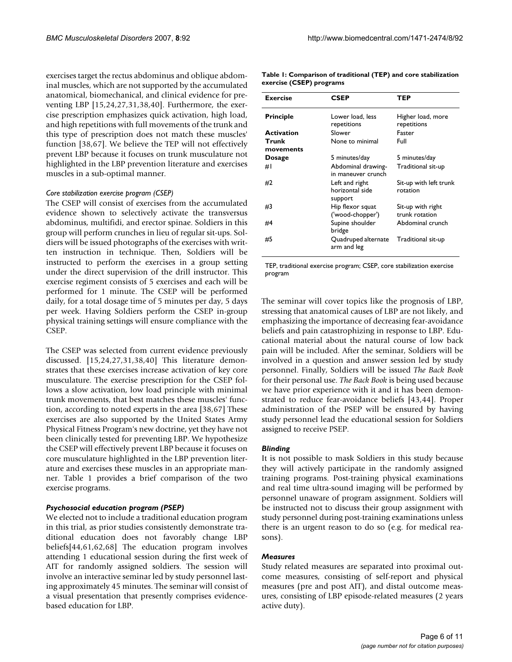exercises target the rectus abdominus and oblique abdominal muscles, which are not supported by the accumulated anatomical, biomechanical, and clinical evidence for preventing LBP [15,24,27,31,38,40]. Furthermore, the exercise prescription emphasizes quick activation, high load, and high repetitions with full movements of the trunk and this type of prescription does not match these muscles' function [38,67]. We believe the TEP will not effectively prevent LBP because it focuses on trunk musculature not highlighted in the LBP prevention literature and exercises muscles in a sub-optimal manner.

#### *Core stabilization exercise program (CSEP)*

The CSEP will consist of exercises from the accumulated evidence shown to selectively activate the transversus abdominus, multifidi, and erector spinae. Soldiers in this group will perform crunches in lieu of regular sit-ups. Soldiers will be issued photographs of the exercises with written instruction in technique. Then, Soldiers will be instructed to perform the exercises in a group setting under the direct supervision of the drill instructor. This exercise regiment consists of 5 exercises and each will be performed for 1 minute. The CSEP will be performed daily, for a total dosage time of 5 minutes per day, 5 days per week. Having Soldiers perform the CSEP in-group physical training settings will ensure compliance with the CSEP.

The CSEP was selected from current evidence previously discussed. [15,24,27,31,38,40] This literature demonstrates that these exercises increase activation of key core musculature. The exercise prescription for the CSEP follows a slow activation, low load principle with minimal trunk movements, that best matches these muscles' function, according to noted experts in the area [38,67] These exercises are also supported by the United States Army Physical Fitness Program's new doctrine, yet they have not been clinically tested for preventing LBP. We hypothesize the CSEP will effectively prevent LBP because it focuses on core musculature highlighted in the LBP prevention literature and exercises these muscles in an appropriate manner. Table 1 provides a brief comparison of the two exercise programs.

#### *Psychosocial education program (PSEP)*

We elected not to include a traditional education program in this trial, as prior studies consistently demonstrate traditional education does not favorably change LBP beliefs[44,61,62,68] The education program involves attending 1 educational session during the first week of AIT for randomly assigned soldiers. The session will involve an interactive seminar led by study personnel lasting approximately 45 minutes. The seminar will consist of a visual presentation that presently comprises evidencebased education for LBP.

| <b>Exercise</b>   | <b>CSEP</b>                                  | TEP                                 |
|-------------------|----------------------------------------------|-------------------------------------|
| Principle         | Lower load, less<br>repetitions              | Higher load, more<br>repetitions    |
| <b>Activation</b> | Slower                                       | Faster                              |
| Trunk             | None to minimal                              | Full                                |
| movements         |                                              |                                     |
| <b>Dosage</b>     | 5 minutes/day                                | 5 minutes/day                       |
| #I                | Abdominal drawing-<br>in maneuver crunch     | Traditional sit-up                  |
| #2                | Left and right<br>horizontal side<br>support | Sit-up with left trunk<br>rotation  |
| #3                | Hip flexor squat<br>('wood-chopper')         | Sit-up with right<br>trunk rotation |
| #4                | Supine shoulder<br>bridge                    | Abdominal crunch                    |
| #5                | Quadruped alternate<br>arm and leg           | Traditional sit-up                  |

**Table 1: Comparison of traditional (TEP) and core stabilization exercise (CSEP) programs**

TEP, traditional exercise program; CSEP, core stabilization exercise program

The seminar will cover topics like the prognosis of LBP, stressing that anatomical causes of LBP are not likely, and emphasizing the importance of decreasing fear-avoidance beliefs and pain catastrophizing in response to LBP. Educational material about the natural course of low back pain will be included. After the seminar, Soldiers will be involved in a question and answer session led by study personnel. Finally, Soldiers will be issued *The Back Book* for their personal use. *The Back Book* is being used because we have prior experience with it and it has been demonstrated to reduce fear-avoidance beliefs [43,44]. Proper administration of the PSEP will be ensured by having study personnel lead the educational session for Soldiers assigned to receive PSEP.

#### *Blinding*

It is not possible to mask Soldiers in this study because they will actively participate in the randomly assigned training programs. Post-training physical examinations and real time ultra-sound imaging will be performed by personnel unaware of program assignment. Soldiers will be instructed not to discuss their group assignment with study personnel during post-training examinations unless there is an urgent reason to do so (e.g. for medical reasons).

## *Measures*

Study related measures are separated into proximal outcome measures, consisting of self-report and physical measures (pre and post AIT), and distal outcome measures, consisting of LBP episode-related measures (2 years active duty).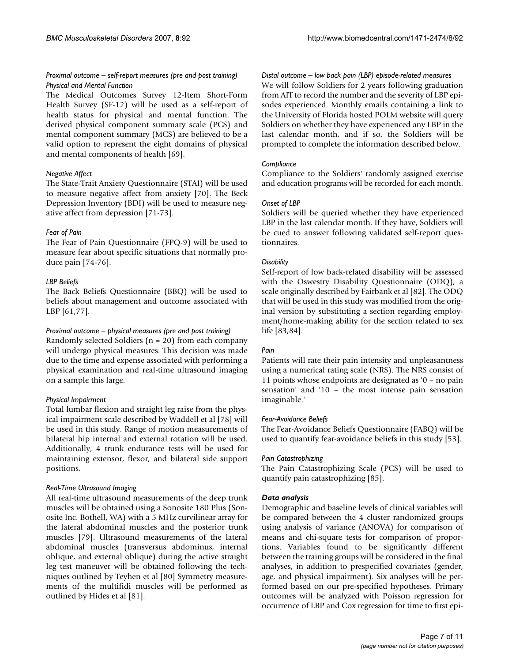## *Proximal outcome – self-report measures (pre and post training) Physical and Mental Function*

The Medical Outcomes Survey 12-Item Short-Form Health Survey (SF-12) will be used as a self-report of health status for physical and mental function. The derived physical component summary scale (PCS) and mental component summary (MCS) are believed to be a valid option to represent the eight domains of physical and mental components of health [69].

## *Negative Affect*

The State-Trait Anxiety Questionnaire (STAI) will be used to measure negative affect from anxiety [70]. The Beck Depression Inventory (BDI) will be used to measure negative affect from depression [71-73].

## *Fear of Pain*

The Fear of Pain Questionnaire (FPQ-9) will be used to measure fear about specific situations that normally produce pain [74-76].

## *LBP Beliefs*

The Back Beliefs Questionnaire (BBQ) will be used to beliefs about management and outcome associated with LBP [61,77].

## *Proximal outcome – physical measures (pre and post training)*

Randomly selected Soldiers ( $n = 20$ ) from each company will undergo physical measures. This decision was made due to the time and expense associated with performing a physical examination and real-time ultrasound imaging on a sample this large.

## *Physical Impairment*

Total lumbar flexion and straight leg raise from the physical impairment scale described by Waddell et al [78] will be used in this study. Range of motion measurements of bilateral hip internal and external rotation will be used. Additionally, 4 trunk endurance tests will be used for maintaining extensor, flexor, and bilateral side support positions.

## *Real-Time Ultrasound Imaging*

All real-time ultrasound measurements of the deep trunk muscles will be obtained using a Sonosite 180 Plus (Sonosite Inc. Bothell, WA) with a 5 MHz curvilinear array for the lateral abdominal muscles and the posterior trunk muscles [79]. Ultrasound measurements of the lateral abdominal muscles (transversus abdominus, internal oblique, and external oblique) during the active straight leg test maneuver will be obtained following the techniques outlined by Teyhen et al [80] Symmetry measurements of the multifidi muscles will be performed as outlined by Hides et al [81].

*Distal outcome – low back pain (LBP) episode-related measures* We will follow Soldiers for 2 years following graduation from AIT to record the number and the severity of LBP episodes experienced. Monthly emails containing a link to the University of Florida hosted POLM website will query Soldiers on whether they have experienced any LBP in the last calendar month, and if so, the Soldiers will be prompted to complete the information described below.

## *Compliance*

Compliance to the Soldiers' randomly assigned exercise and education programs will be recorded for each month.

## *Onset of LBP*

Soldiers will be queried whether they have experienced LBP in the last calendar month. If they have, Soldiers will be cued to answer following validated self-report questionnaires.

## *Disability*

Self-report of low back-related disability will be assessed with the Oswestry Disability Questionnaire (ODQ), a scale originally described by Fairbank et al [82]. The ODQ that will be used in this study was modified from the original version by substituting a section regarding employment/home-making ability for the section related to sex life [83,84].

## *Pain*

Patients will rate their pain intensity and unpleasantness using a numerical rating scale (NRS). The NRS consist of 11 points whose endpoints are designated as '0 – no pain sensation' and '10 – the most intense pain sensation imaginable.'

## *Fear-Avoidance Beliefs*

The Fear-Avoidance Beliefs Questionnaire (FABQ) will be used to quantify fear-avoidance beliefs in this study [53].

## *Pain Catastrophizing*

The Pain Catastrophizing Scale (PCS) will be used to quantify pain catastrophizing [85].

## *Data analysis*

Demographic and baseline levels of clinical variables will be compared between the 4 cluster randomized groups using analysis of variance (ANOVA) for comparison of means and chi-square tests for comparison of proportions. Variables found to be significantly different between the training groups will be considered in the final analyses, in addition to prespecified covariates (gender, age, and physical impairment). Six analyses will be performed based on our pre-specified hypotheses. Primary outcomes will be analyzed with Poisson regression for occurrence of LBP and Cox regression for time to first epi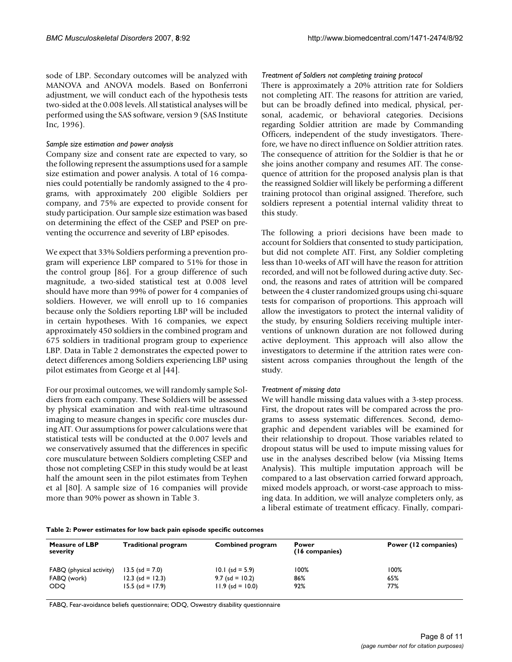sode of LBP. Secondary outcomes will be analyzed with MANOVA and ANOVA models. Based on Bonferroni adjustment, we will conduct each of the hypothesis tests two-sided at the 0.008 levels. All statistical analyses will be performed using the SAS software, version 9 (SAS Institute Inc, 1996).

## *Sample size estimation and power analysis*

Company size and consent rate are expected to vary, so the following represent the assumptions used for a sample size estimation and power analysis. A total of 16 companies could potentially be randomly assigned to the 4 programs, with approximately 200 eligible Soldiers per company, and 75% are expected to provide consent for study participation. Our sample size estimation was based on determining the effect of the CSEP and PSEP on preventing the occurrence and severity of LBP episodes.

We expect that 33% Soldiers performing a prevention program will experience LBP compared to 51% for those in the control group [86]. For a group difference of such magnitude, a two-sided statistical test at 0.008 level should have more than 99% of power for 4 companies of soldiers. However, we will enroll up to 16 companies because only the Soldiers reporting LBP will be included in certain hypotheses. With 16 companies, we expect approximately 450 soldiers in the combined program and 675 soldiers in traditional program group to experience LBP. Data in Table 2 demonstrates the expected power to detect differences among Soldiers experiencing LBP using pilot estimates from George et al [44].

For our proximal outcomes, we will randomly sample Soldiers from each company. These Soldiers will be assessed by physical examination and with real-time ultrasound imaging to measure changes in specific core muscles during AIT. Our assumptions for power calculations were that statistical tests will be conducted at the 0.007 levels and we conservatively assumed that the differences in specific core musculature between Soldiers completing CSEP and those not completing CSEP in this study would be at least half the amount seen in the pilot estimates from Teyhen et al [80]. A sample size of 16 companies will provide more than 90% power as shown in Table 3.

## *Treatment of Soldiers not completing training protocol*

There is approximately a 20% attrition rate for Soldiers not completing AIT. The reasons for attrition are varied, but can be broadly defined into medical, physical, personal, academic, or behavioral categories. Decisions regarding Soldier attrition are made by Commanding Officers, independent of the study investigators. Therefore, we have no direct influence on Soldier attrition rates. The consequence of attrition for the Soldier is that he or she joins another company and resumes AIT. The consequence of attrition for the proposed analysis plan is that the reassigned Soldier will likely be performing a different training protocol than original assigned. Therefore, such soldiers represent a potential internal validity threat to this study.

The following a priori decisions have been made to account for Soldiers that consented to study participation, but did not complete AIT. First, any Soldier completing less than 10-weeks of AIT will have the reason for attrition recorded, and will not be followed during active duty. Second, the reasons and rates of attrition will be compared between the 4 cluster randomized groups using chi-square tests for comparison of proportions. This approach will allow the investigators to protect the internal validity of the study, by ensuring Soldiers receiving multiple interventions of unknown duration are not followed during active deployment. This approach will also allow the investigators to determine if the attrition rates were consistent across companies throughout the length of the study.

## *Treatment of missing data*

We will handle missing data values with a 3-step process. First, the dropout rates will be compared across the programs to assess systematic differences. Second, demographic and dependent variables will be examined for their relationship to dropout. Those variables related to dropout status will be used to impute missing values for use in the analyses described below (via Missing Items Analysis). This multiple imputation approach will be compared to a last observation carried forward approach, mixed models approach, or worst-case approach to missing data. In addition, we will analyze completers only, as a liberal estimate of treatment efficacy. Finally, compari-

**Table 2: Power estimates for low back pain episode specific outcomes**

| <b>Measure of LBP</b><br>severity | <b>Traditional program</b> | <b>Combined program</b> | Power<br>(16 companies) | Power (12 companies) |
|-----------------------------------|----------------------------|-------------------------|-------------------------|----------------------|
| FABQ (physical activity)          | $13.5$ (sd = 7.0)          | $10.1$ (sd = 5.9)       | 100%                    | 100%                 |
| FABQ (work)                       | $12.3$ (sd = 12.3)         | $9.7$ (sd = 10.2)       | 86%                     | 65%                  |
| <b>ODQ</b>                        | $15.5$ (sd = 17.9)         | $11.9$ (sd = 10.0)      | 92%                     | 77%                  |

FABQ, Fear-avoidance beliefs questionnaire; ODQ, Oswestry disability questionnaire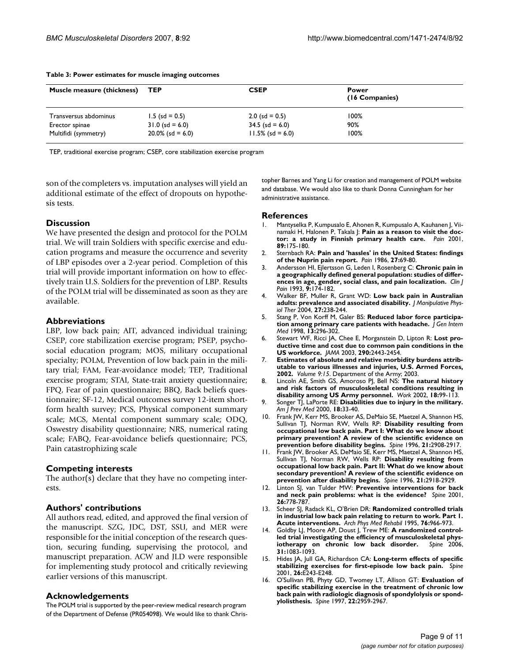| Muscle measure (thickness) | TEP                 | <b>CSEP</b>         | Power<br>(16 Companies) |
|----------------------------|---------------------|---------------------|-------------------------|
| Transversus abdominus      | $1.5$ (sd = 0.5)    | $2.0$ (sd = 0.5)    | 100%                    |
| Erector spinae             | $31.0$ (sd = 6.0)   | $34.5$ (sd = 6.0)   | 90%                     |
| Multifidi (symmetry)       | $20.0\%$ (sd = 6.0) | $11.5\%$ (sd = 6.0) | 100%                    |

#### **Table 3: Power estimates for muscle imaging outcomes**

TEP, traditional exercise program; CSEP, core stabilization exercise program

son of the completers vs. imputation analyses will yield an additional estimate of the effect of dropouts on hypothesis tests.

## **Discussion**

We have presented the design and protocol for the POLM trial. We will train Soldiers with specific exercise and education programs and measure the occurrence and severity of LBP episodes over a 2-year period. Completion of this trial will provide important information on how to effectively train U.S. Soldiers for the prevention of LBP. Results of the POLM trial will be disseminated as soon as they are available.

#### **Abbreviations**

LBP, low back pain; AIT, advanced individual training; CSEP, core stabilization exercise program; PSEP, psychosocial education program; MOS, military occupational specialty; POLM, Prevention of low back pain in the military trial; FAM, Fear-avoidance model; TEP, Traditional exercise program; STAI, State-trait anxiety questionnaire; FPQ, Fear of pain questionnaire; BBQ, Back beliefs questionnaire; SF-12, Medical outcomes survey 12-item shortform health survey; PCS, Physical component summary scale; MCS, Mental component summary scale; ODQ, Oswestry disability questionnaire; NRS, numerical rating scale; FABQ, Fear-avoidance beliefs questionnaire; PCS, Pain catastrophizing scale

## **Competing interests**

The author(s) declare that they have no competing interests.

## **Authors' contributions**

All authors read, edited, and approved the final version of the manuscript. SZG, JDC, DST, SSU, and MER were responsible for the initial conception of the research question, securing funding, supervising the protocol, and manuscript preparation. ACW and JLD were responsible for implementing study protocol and critically reviewing earlier versions of this manuscript.

#### **Acknowledgements**

The POLM trial is supported by the peer-review medical research program of the Department of Defense (PR054098). We would like to thank Christopher Barnes and Yang Li for creation and management of POLM website and database. We would also like to thank Donna Cunningham for her administrative assistance.

#### **References**

- 1. Mantyselka P, Kumpusalo E, Ahonen R, Kumpusalo A, Kauhanen J, Vii-namaki H, Halonen P, Takala |: [Pain as a reason to visit the doc](http://www.ncbi.nlm.nih.gov/entrez/query.fcgi?cmd=Retrieve&db=PubMed&dopt=Abstract&list_uids=11166473)**[tor: a study in Finnish primary health care.](http://www.ncbi.nlm.nih.gov/entrez/query.fcgi?cmd=Retrieve&db=PubMed&dopt=Abstract&list_uids=11166473)** *Pain* 2001, **89:**175-180.
- 2. Sternbach RA: **[Pain and 'hassles' in the United States: findings](http://www.ncbi.nlm.nih.gov/entrez/query.fcgi?cmd=Retrieve&db=PubMed&dopt=Abstract&list_uids=3785965) [of the Nuprin pain report.](http://www.ncbi.nlm.nih.gov/entrez/query.fcgi?cmd=Retrieve&db=PubMed&dopt=Abstract&list_uids=3785965)** *Pain* 1986, **27:**69-80.
- 3. Andersson HI, Ejlertsson G, Leden I, Rosenberg C: **[Chronic pain in](http://www.ncbi.nlm.nih.gov/entrez/query.fcgi?cmd=Retrieve&db=PubMed&dopt=Abstract&list_uids=8219517) [a geographically defined general population: studies of differ](http://www.ncbi.nlm.nih.gov/entrez/query.fcgi?cmd=Retrieve&db=PubMed&dopt=Abstract&list_uids=8219517)[ences in age, gender, social class, and pain localization.](http://www.ncbi.nlm.nih.gov/entrez/query.fcgi?cmd=Retrieve&db=PubMed&dopt=Abstract&list_uids=8219517)** *Clin J Pain* 1993, **9:**174-182.
- 4. Walker BF, Muller R, Grant WD: **[Low back pain in Australian](http://www.ncbi.nlm.nih.gov/entrez/query.fcgi?cmd=Retrieve&db=PubMed&dopt=Abstract&list_uids=15148462) [adults: prevalence and associated disability.](http://www.ncbi.nlm.nih.gov/entrez/query.fcgi?cmd=Retrieve&db=PubMed&dopt=Abstract&list_uids=15148462)** *J Manipulative Physiol Ther* 2004, **27:**238-244.
- 5. Stang P, Von Korff M, Galer BS: **[Reduced labor force participa](http://www.ncbi.nlm.nih.gov/entrez/query.fcgi?cmd=Retrieve&db=PubMed&dopt=Abstract&list_uids=9613884)[tion among primary care patients with headache.](http://www.ncbi.nlm.nih.gov/entrez/query.fcgi?cmd=Retrieve&db=PubMed&dopt=Abstract&list_uids=9613884)** *J Gen Intern Med* 1998, **13:**296-302.
- 6. Stewart WF, Ricci JA, Chee E, Morganstein D, Lipton R: **[Lost pro](http://www.ncbi.nlm.nih.gov/entrez/query.fcgi?cmd=Retrieve&db=PubMed&dopt=Abstract&list_uids=14612481)[ductive time and cost due to common pain conditions in the](http://www.ncbi.nlm.nih.gov/entrez/query.fcgi?cmd=Retrieve&db=PubMed&dopt=Abstract&list_uids=14612481) [US workforce.](http://www.ncbi.nlm.nih.gov/entrez/query.fcgi?cmd=Retrieve&db=PubMed&dopt=Abstract&list_uids=14612481)** *JAMA* 2003, **290:**2443-2454.
- 7. **Estimates of absolute and relative morbidity burdens attributable to various illnesses and injuries, U.S. Armed Forces, 2002.** *Volume 9:15*. Department of the Army; 2003.
- 8. Lincoln AE, Smith GS, Amoroso PJ, Bell NS: **[The natural history](http://www.ncbi.nlm.nih.gov/entrez/query.fcgi?cmd=Retrieve&db=PubMed&dopt=Abstract&list_uids=12441574) [and risk factors of musculoskeletal conditions resulting in](http://www.ncbi.nlm.nih.gov/entrez/query.fcgi?cmd=Retrieve&db=PubMed&dopt=Abstract&list_uids=12441574) [disability among US Army personnel.](http://www.ncbi.nlm.nih.gov/entrez/query.fcgi?cmd=Retrieve&db=PubMed&dopt=Abstract&list_uids=12441574)** *Work* 2002, **18:**99-113.
- 9. Songer TJ, LaPorte RE: **[Disabilities due to injury in the military.](http://www.ncbi.nlm.nih.gov/entrez/query.fcgi?cmd=Retrieve&db=PubMed&dopt=Abstract&list_uids=10736539)** *Am J Prev Med* 2000, **18:**33-40.
- 10. Frank JW, Kerr MS, Brooker AS, DeMaio SE, Maetzel A, Shannon HS, Sullivan TJ, Norman RW, Wells RP: **[Disability resulting from](http://www.ncbi.nlm.nih.gov/entrez/query.fcgi?cmd=Retrieve&db=PubMed&dopt=Abstract&list_uids=9112716) occupational low back pain. Part I: What do we know about [primary prevention? A review of the scientific evidence on](http://www.ncbi.nlm.nih.gov/entrez/query.fcgi?cmd=Retrieve&db=PubMed&dopt=Abstract&list_uids=9112716) [prevention before disability begins.](http://www.ncbi.nlm.nih.gov/entrez/query.fcgi?cmd=Retrieve&db=PubMed&dopt=Abstract&list_uids=9112716)** *Spine* 1996, **21:**2908-2917.
- 11. Frank JW, Brooker AS, DeMaio SE, Kerr MS, Maetzel A, Shannon HS, Sullivan TJ, Norman RW, Wells RP: **[Disability resulting from](http://www.ncbi.nlm.nih.gov/entrez/query.fcgi?cmd=Retrieve&db=PubMed&dopt=Abstract&list_uids=9112717) occupational low back pain. Part II: What do we know about [secondary prevention? A review of the scientific evidence on](http://www.ncbi.nlm.nih.gov/entrez/query.fcgi?cmd=Retrieve&db=PubMed&dopt=Abstract&list_uids=9112717) [prevention after disability begins.](http://www.ncbi.nlm.nih.gov/entrez/query.fcgi?cmd=Retrieve&db=PubMed&dopt=Abstract&list_uids=9112717)** *Spine* 1996, **21:**2918-2929.
- 12. Linton SJ, van Tulder MW: **[Preventive interventions for back](http://www.ncbi.nlm.nih.gov/entrez/query.fcgi?cmd=Retrieve&db=PubMed&dopt=Abstract&list_uids=11295900) [and neck pain problems: what is the evidence?](http://www.ncbi.nlm.nih.gov/entrez/query.fcgi?cmd=Retrieve&db=PubMed&dopt=Abstract&list_uids=11295900)** *Spine* 2001, **26:**778-787.
- 13. Scheer SJ, Radack KL, O'Brien DR: **[Randomized controlled trials](http://www.ncbi.nlm.nih.gov/entrez/query.fcgi?cmd=Retrieve&db=PubMed&dopt=Abstract&list_uids=7487440) [in industrial low back pain relating to return to work. Part 1.](http://www.ncbi.nlm.nih.gov/entrez/query.fcgi?cmd=Retrieve&db=PubMed&dopt=Abstract&list_uids=7487440) [Acute interventions.](http://www.ncbi.nlm.nih.gov/entrez/query.fcgi?cmd=Retrieve&db=PubMed&dopt=Abstract&list_uids=7487440)** *Arch Phys Med Rehabil* 1995, **76:**966-973.
- 14. Goldby LJ, Moore AP, Doust J, Trew ME: **[A randomized control](http://www.ncbi.nlm.nih.gov/entrez/query.fcgi?cmd=Retrieve&db=PubMed&dopt=Abstract&list_uids=16648741)[led trial investigating the efficiency of musculoskeletal phys](http://www.ncbi.nlm.nih.gov/entrez/query.fcgi?cmd=Retrieve&db=PubMed&dopt=Abstract&list_uids=16648741)[iotherapy on chronic low back disorder.](http://www.ncbi.nlm.nih.gov/entrez/query.fcgi?cmd=Retrieve&db=PubMed&dopt=Abstract&list_uids=16648741)** *Spine* 2006, **31:**1083-1093.
- 15. Hides JA, Jull GA, Richardson CA: **[Long-term effects of specific](http://www.ncbi.nlm.nih.gov/entrez/query.fcgi?cmd=Retrieve&db=PubMed&dopt=Abstract&list_uids=11389408) [stabilizing exercises for first-episode low back pain.](http://www.ncbi.nlm.nih.gov/entrez/query.fcgi?cmd=Retrieve&db=PubMed&dopt=Abstract&list_uids=11389408)** *Spine* 2001, **26:**E243-E248.
- 16. O'Sullivan PB, Phyty GD, Twomey LT, Allison GT: **[Evaluation of](http://www.ncbi.nlm.nih.gov/entrez/query.fcgi?cmd=Retrieve&db=PubMed&dopt=Abstract&list_uids=9431633) specific stabilizing exercise in the treatment of chronic low [back pain with radiologic diagnosis of spondylolysis or spond](http://www.ncbi.nlm.nih.gov/entrez/query.fcgi?cmd=Retrieve&db=PubMed&dopt=Abstract&list_uids=9431633)[ylolisthesis.](http://www.ncbi.nlm.nih.gov/entrez/query.fcgi?cmd=Retrieve&db=PubMed&dopt=Abstract&list_uids=9431633)** *Spine* 1997, **22:**2959-2967.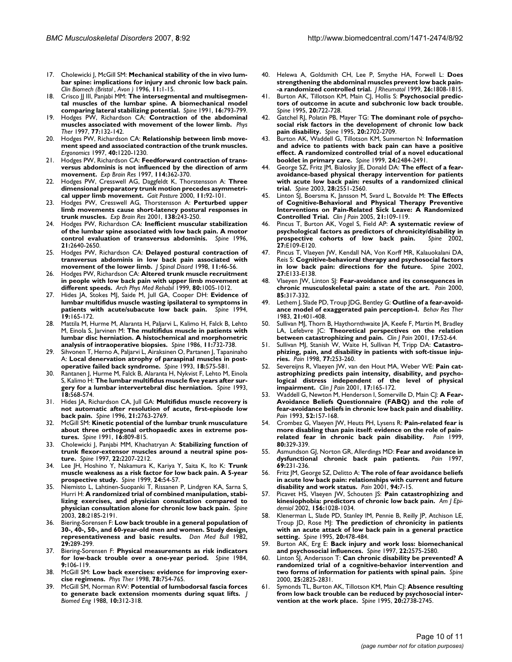- 17. Cholewicki J, McGill SM: **[Mechanical stability of the in vivo lum](http://www.ncbi.nlm.nih.gov/entrez/query.fcgi?cmd=Retrieve&db=PubMed&dopt=Abstract&list_uids=11415593)[bar spine: implications for injury and chronic low back pain.](http://www.ncbi.nlm.nih.gov/entrez/query.fcgi?cmd=Retrieve&db=PubMed&dopt=Abstract&list_uids=11415593)** *Clin Biomech (Bristol , Avon )* 1996, **11:**1-15.
- 18. Crisco JJ III, Panjabi MM: **[The intersegmental and multisegmen](http://www.ncbi.nlm.nih.gov/entrez/query.fcgi?cmd=Retrieve&db=PubMed&dopt=Abstract&list_uids=1925756)[tal muscles of the lumbar spine. A biomechanical model](http://www.ncbi.nlm.nih.gov/entrez/query.fcgi?cmd=Retrieve&db=PubMed&dopt=Abstract&list_uids=1925756) [comparing lateral stabilizing potential.](http://www.ncbi.nlm.nih.gov/entrez/query.fcgi?cmd=Retrieve&db=PubMed&dopt=Abstract&list_uids=1925756)** *Spine* 1991, **16:**793-799.
- 19. Hodges PW, Richardson CA: **[Contraction of the abdominal](http://www.ncbi.nlm.nih.gov/entrez/query.fcgi?cmd=Retrieve&db=PubMed&dopt=Abstract&list_uids=9037214) [muscles associated with movement of the lower limb.](http://www.ncbi.nlm.nih.gov/entrez/query.fcgi?cmd=Retrieve&db=PubMed&dopt=Abstract&list_uids=9037214)** *Phys Ther* 1997, **77:**132-142.
- 20. Hodges PW, Richardson CA: **[Relationship between limb move](http://www.ncbi.nlm.nih.gov/entrez/query.fcgi?cmd=Retrieve&db=PubMed&dopt=Abstract&list_uids=9375536)[ment speed and associated contraction of the trunk muscles.](http://www.ncbi.nlm.nih.gov/entrez/query.fcgi?cmd=Retrieve&db=PubMed&dopt=Abstract&list_uids=9375536)** *Ergonomics* 1997, **40:**1220-1230.
- 21. Hodges PW, Richardson CA: **[Feedforward contraction of trans](http://www.ncbi.nlm.nih.gov/entrez/query.fcgi?cmd=Retrieve&db=PubMed&dopt=Abstract&list_uids=9166925)[versus abdominis is not influenced by the direction of arm](http://www.ncbi.nlm.nih.gov/entrez/query.fcgi?cmd=Retrieve&db=PubMed&dopt=Abstract&list_uids=9166925) [movement.](http://www.ncbi.nlm.nih.gov/entrez/query.fcgi?cmd=Retrieve&db=PubMed&dopt=Abstract&list_uids=9166925)** *Exp Brain Res* 1997, **114:**362-370.
- 22. Hodges PW, Cresswell AG, Daggfeldt K, Thorstensson A: **[Three](http://www.ncbi.nlm.nih.gov/entrez/query.fcgi?cmd=Retrieve&db=PubMed&dopt=Abstract&list_uids=10899662) [dimensional preparatory trunk motion precedes asymmetri](http://www.ncbi.nlm.nih.gov/entrez/query.fcgi?cmd=Retrieve&db=PubMed&dopt=Abstract&list_uids=10899662)[cal upper limb movement.](http://www.ncbi.nlm.nih.gov/entrez/query.fcgi?cmd=Retrieve&db=PubMed&dopt=Abstract&list_uids=10899662)** *Gait Posture* 2000, **11:**92-101.
- 23. Hodges PW, Cresswell AG, Thorstensson A: **[Perturbed upper](http://www.ncbi.nlm.nih.gov/entrez/query.fcgi?cmd=Retrieve&db=PubMed&dopt=Abstract&list_uids=11417465) [limb movements cause short-latency postural responses in](http://www.ncbi.nlm.nih.gov/entrez/query.fcgi?cmd=Retrieve&db=PubMed&dopt=Abstract&list_uids=11417465) [trunk muscles.](http://www.ncbi.nlm.nih.gov/entrez/query.fcgi?cmd=Retrieve&db=PubMed&dopt=Abstract&list_uids=11417465)** *Exp Brain Res* 2001, **138:**243-250.
- 24. Hodges PW, Richardson CA: **[Inefficient muscular stabilization](http://www.ncbi.nlm.nih.gov/entrez/query.fcgi?cmd=Retrieve&db=PubMed&dopt=Abstract&list_uids=8961451) [of the lumbar spine associated with low back pain. A motor](http://www.ncbi.nlm.nih.gov/entrez/query.fcgi?cmd=Retrieve&db=PubMed&dopt=Abstract&list_uids=8961451) [control evaluation of transversus abdominis.](http://www.ncbi.nlm.nih.gov/entrez/query.fcgi?cmd=Retrieve&db=PubMed&dopt=Abstract&list_uids=8961451)** *Spine* 1996, **21:**2640-2650.
- 25. Hodges PW, Richardson CA: **[Delayed postural contraction of](http://www.ncbi.nlm.nih.gov/entrez/query.fcgi?cmd=Retrieve&db=PubMed&dopt=Abstract&list_uids=9493770) [transversus abdominis in low back pain associated with](http://www.ncbi.nlm.nih.gov/entrez/query.fcgi?cmd=Retrieve&db=PubMed&dopt=Abstract&list_uids=9493770) [movement of the lower limb.](http://www.ncbi.nlm.nih.gov/entrez/query.fcgi?cmd=Retrieve&db=PubMed&dopt=Abstract&list_uids=9493770)** *J Spinal Disord* 1998, **11:**46-56.
- 26. Hodges PW, Richardson CA: **[Altered trunk muscle recruitment](http://www.ncbi.nlm.nih.gov/entrez/query.fcgi?cmd=Retrieve&db=PubMed&dopt=Abstract&list_uids=10489000) [in people with low back pain with upper limb movement at](http://www.ncbi.nlm.nih.gov/entrez/query.fcgi?cmd=Retrieve&db=PubMed&dopt=Abstract&list_uids=10489000) [different speeds.](http://www.ncbi.nlm.nih.gov/entrez/query.fcgi?cmd=Retrieve&db=PubMed&dopt=Abstract&list_uids=10489000)** *Arch Phys Med Rehabil* 1999, **80:**1005-1012.
- 27. Hides JA, Stokes MJ, Saide M, Jull GA, Cooper DH: **[Evidence of](http://www.ncbi.nlm.nih.gov/entrez/query.fcgi?cmd=Retrieve&db=PubMed&dopt=Abstract&list_uids=8153825) [lumbar multifidus muscle wasting ipsilateral to symptoms in](http://www.ncbi.nlm.nih.gov/entrez/query.fcgi?cmd=Retrieve&db=PubMed&dopt=Abstract&list_uids=8153825) [patients with acute/subacute low back pain.](http://www.ncbi.nlm.nih.gov/entrez/query.fcgi?cmd=Retrieve&db=PubMed&dopt=Abstract&list_uids=8153825)** *Spine* 1994, **19:**165-172.
- 28. Mattila M, Hurme M, Alaranta H, Paljarvi L, Kalimo H, Falck B, Lehto M, Einola S, Jarvinen M: **[The multifidus muscle in patients with](http://www.ncbi.nlm.nih.gov/entrez/query.fcgi?cmd=Retrieve&db=PubMed&dopt=Abstract&list_uids=3787345) [lumbar disc herniation. A histochemical and morphometric](http://www.ncbi.nlm.nih.gov/entrez/query.fcgi?cmd=Retrieve&db=PubMed&dopt=Abstract&list_uids=3787345) [analysis of intraoperative biopsies.](http://www.ncbi.nlm.nih.gov/entrez/query.fcgi?cmd=Retrieve&db=PubMed&dopt=Abstract&list_uids=3787345)** *Spine* 1986, **11:**732-738.
- 29. Sihvonen T, Herno A, Paljarvi L, Airaksinen O, Partanen J, Tapaninaho A: **[Local denervation atrophy of paraspinal muscles in post](http://www.ncbi.nlm.nih.gov/entrez/query.fcgi?cmd=Retrieve&db=PubMed&dopt=Abstract&list_uids=8484148)[operative failed back syndrome.](http://www.ncbi.nlm.nih.gov/entrez/query.fcgi?cmd=Retrieve&db=PubMed&dopt=Abstract&list_uids=8484148)** *Spine* 1993, **18:**575-581.
- 30. Rantanen J, Hurme M, Falck B, Alaranta H, Nykvist F, Lehto M, Einola S, Kalimo H: **[The lumbar multifidus muscle five years after sur](http://www.ncbi.nlm.nih.gov/entrez/query.fcgi?cmd=Retrieve&db=PubMed&dopt=Abstract&list_uids=8484147)[gery for a lumbar intervertebral disc herniation.](http://www.ncbi.nlm.nih.gov/entrez/query.fcgi?cmd=Retrieve&db=PubMed&dopt=Abstract&list_uids=8484147)** *Spine* 1993, **18:**568-574.
- 31. Hides JA, Richardson CA, Jull GA: **[Multifidus muscle recovery is](http://www.ncbi.nlm.nih.gov/entrez/query.fcgi?cmd=Retrieve&db=PubMed&dopt=Abstract&list_uids=8979323) [not automatic after resolution of acute, first-episode low](http://www.ncbi.nlm.nih.gov/entrez/query.fcgi?cmd=Retrieve&db=PubMed&dopt=Abstract&list_uids=8979323) [back pain.](http://www.ncbi.nlm.nih.gov/entrez/query.fcgi?cmd=Retrieve&db=PubMed&dopt=Abstract&list_uids=8979323)** *Spine* 1996, **21:**2763-2769.
- 32. McGill SM: **[Kinetic potential of the lumbar trunk musculature](http://www.ncbi.nlm.nih.gov/entrez/query.fcgi?cmd=Retrieve&db=PubMed&dopt=Abstract&list_uids=1925758) [about three orthogonal orthopaedic axes in extreme pos](http://www.ncbi.nlm.nih.gov/entrez/query.fcgi?cmd=Retrieve&db=PubMed&dopt=Abstract&list_uids=1925758)[tures.](http://www.ncbi.nlm.nih.gov/entrez/query.fcgi?cmd=Retrieve&db=PubMed&dopt=Abstract&list_uids=1925758)** *Spine* 1991, **16:**809-815.
- 33. Cholewicki J, Panjabi MM, Khachatryan A: **[Stabilizing function of](http://www.ncbi.nlm.nih.gov/entrez/query.fcgi?cmd=Retrieve&db=PubMed&dopt=Abstract&list_uids=9346140) [trunk flexor-extensor muscles around a neutral spine pos](http://www.ncbi.nlm.nih.gov/entrez/query.fcgi?cmd=Retrieve&db=PubMed&dopt=Abstract&list_uids=9346140)[ture.](http://www.ncbi.nlm.nih.gov/entrez/query.fcgi?cmd=Retrieve&db=PubMed&dopt=Abstract&list_uids=9346140)** *Spine* 1997, **22:**2207-2212.
- 34. Lee JH, Hoshino Y, Nakamura K, Kariya Y, Saita K, Ito K: **[Trunk](http://www.ncbi.nlm.nih.gov/entrez/query.fcgi?cmd=Retrieve&db=PubMed&dopt=Abstract&list_uids=9921591) [muscle weakness as a risk factor for low back pain. A 5-year](http://www.ncbi.nlm.nih.gov/entrez/query.fcgi?cmd=Retrieve&db=PubMed&dopt=Abstract&list_uids=9921591) [prospective study.](http://www.ncbi.nlm.nih.gov/entrez/query.fcgi?cmd=Retrieve&db=PubMed&dopt=Abstract&list_uids=9921591)** *Spine* 1999, **24:**54-57.
- 35. Niemisto L, Lahtinen-Suopanki T, Rissanen P, Lindgren KA, Sarna S, Hurri H: **[A randomized trial of combined manipulation, stabi](http://www.ncbi.nlm.nih.gov/entrez/query.fcgi?cmd=Retrieve&db=PubMed&dopt=Abstract&list_uids=14520029)[lizing exercises, and physician consultation compared to](http://www.ncbi.nlm.nih.gov/entrez/query.fcgi?cmd=Retrieve&db=PubMed&dopt=Abstract&list_uids=14520029) [physician consultation alone for chronic low back pain.](http://www.ncbi.nlm.nih.gov/entrez/query.fcgi?cmd=Retrieve&db=PubMed&dopt=Abstract&list_uids=14520029)** *Spine* 2003, **28:**2185-2191.
- 36. Biering-Sorensen F: **[Low back trouble in a general population of](http://www.ncbi.nlm.nih.gov/entrez/query.fcgi?cmd=Retrieve&db=PubMed&dopt=Abstract&list_uids=6216075) [30-, 40-, 50-, and 60-year-old men and women. Study design,](http://www.ncbi.nlm.nih.gov/entrez/query.fcgi?cmd=Retrieve&db=PubMed&dopt=Abstract&list_uids=6216075) [representativeness and basic results.](http://www.ncbi.nlm.nih.gov/entrez/query.fcgi?cmd=Retrieve&db=PubMed&dopt=Abstract&list_uids=6216075)** *Dan Med Bull* 1982, **29:**289-299.
- 37. Biering-Sorensen F: **[Physical measurements as risk indicators](http://www.ncbi.nlm.nih.gov/entrez/query.fcgi?cmd=Retrieve&db=PubMed&dopt=Abstract&list_uids=6233709) [for low-back trouble over a one-year period.](http://www.ncbi.nlm.nih.gov/entrez/query.fcgi?cmd=Retrieve&db=PubMed&dopt=Abstract&list_uids=6233709)** *Spine* 1984, **9:**106-119.
- 38. McGill SM: **[Low back exercises: evidence for improving exer](http://www.ncbi.nlm.nih.gov/entrez/query.fcgi?cmd=Retrieve&db=PubMed&dopt=Abstract&list_uids=9672547)[cise regimens.](http://www.ncbi.nlm.nih.gov/entrez/query.fcgi?cmd=Retrieve&db=PubMed&dopt=Abstract&list_uids=9672547)** *Phys Ther* 1998, **78:**754-765.
- 39. McGill SM, Norman RW: **[Potential of lumbodorsal fascia forces](http://www.ncbi.nlm.nih.gov/entrez/query.fcgi?cmd=Retrieve&db=PubMed&dopt=Abstract&list_uids=3236850) [to generate back extension moments during squat lifts.](http://www.ncbi.nlm.nih.gov/entrez/query.fcgi?cmd=Retrieve&db=PubMed&dopt=Abstract&list_uids=3236850)** *J Biomed Eng* 1988, **10:**312-318.
- 40. Helewa A, Goldsmith CH, Lee P, Smythe HA, Forwell L: **[Does](http://www.ncbi.nlm.nih.gov/entrez/query.fcgi?cmd=Retrieve&db=PubMed&dopt=Abstract&list_uids=10451081) [strengthening the abdominal muscles prevent low back pain-](http://www.ncbi.nlm.nih.gov/entrez/query.fcgi?cmd=Retrieve&db=PubMed&dopt=Abstract&list_uids=10451081) [-a randomized controlled trial.](http://www.ncbi.nlm.nih.gov/entrez/query.fcgi?cmd=Retrieve&db=PubMed&dopt=Abstract&list_uids=10451081)** *J Rheumatol* 1999, **26:**1808-1815.
- 41. Burton AK, Tillotson KM, Main CJ, Hollis S: **[Psychosocial predic](http://www.ncbi.nlm.nih.gov/entrez/query.fcgi?cmd=Retrieve&db=PubMed&dopt=Abstract&list_uids=7604349)[tors of outcome in acute and subchronic low back trouble.](http://www.ncbi.nlm.nih.gov/entrez/query.fcgi?cmd=Retrieve&db=PubMed&dopt=Abstract&list_uids=7604349)** *Spine* 1995, **20:**722-728.
- 42. Gatchel RJ, Polatin PB, Mayer TG: **[The dominant role of psycho](http://www.ncbi.nlm.nih.gov/entrez/query.fcgi?cmd=Retrieve&db=PubMed&dopt=Abstract&list_uids=8747248)[social risk factors in the development of chronic low back](http://www.ncbi.nlm.nih.gov/entrez/query.fcgi?cmd=Retrieve&db=PubMed&dopt=Abstract&list_uids=8747248) [pain disability.](http://www.ncbi.nlm.nih.gov/entrez/query.fcgi?cmd=Retrieve&db=PubMed&dopt=Abstract&list_uids=8747248)** *Spine* 1995, **20:**2702-2709.
- 43. Burton AK, Waddell G, Tillotson KM, Summerton N: **[Information](http://www.ncbi.nlm.nih.gov/entrez/query.fcgi?cmd=Retrieve&db=PubMed&dopt=Abstract&list_uids=10626311) and advice to patients with back pain can have a positive [effect. A randomized controlled trial of a novel educational](http://www.ncbi.nlm.nih.gov/entrez/query.fcgi?cmd=Retrieve&db=PubMed&dopt=Abstract&list_uids=10626311) [booklet in primary care.](http://www.ncbi.nlm.nih.gov/entrez/query.fcgi?cmd=Retrieve&db=PubMed&dopt=Abstract&list_uids=10626311)** *Spine* 1999, **24:**2484-2491.
- 44. George SZ, Fritz JM, Bialosky JE, Donald DA: **[The effect of a fear](http://www.ncbi.nlm.nih.gov/entrez/query.fcgi?cmd=Retrieve&db=PubMed&dopt=Abstract&list_uids=14652471)avoidance-based physical therapy intervention for patients [with acute low back pain: results of a randomized clinical](http://www.ncbi.nlm.nih.gov/entrez/query.fcgi?cmd=Retrieve&db=PubMed&dopt=Abstract&list_uids=14652471) [trial.](http://www.ncbi.nlm.nih.gov/entrez/query.fcgi?cmd=Retrieve&db=PubMed&dopt=Abstract&list_uids=14652471)** *Spine* 2003, **28:**2551-2560.
- 45. Linton SJ, Boersma K, Jansson M, Svard L, Botvalde M: **[The Effects](http://www.ncbi.nlm.nih.gov/entrez/query.fcgi?cmd=Retrieve&db=PubMed&dopt=Abstract&list_uids=15722803) of Cognitive-Behavioral and Physical Therapy Preventive [Interventions on Pain-Related Sick Leave: A Randomized](http://www.ncbi.nlm.nih.gov/entrez/query.fcgi?cmd=Retrieve&db=PubMed&dopt=Abstract&list_uids=15722803) [Controlled Trial.](http://www.ncbi.nlm.nih.gov/entrez/query.fcgi?cmd=Retrieve&db=PubMed&dopt=Abstract&list_uids=15722803)** *Clin J Pain* 2005, **21:**109-119.
- 46. Pincus T, Burton AK, Vogel S, Field AP: **[A systematic review of](http://www.ncbi.nlm.nih.gov/entrez/query.fcgi?cmd=Retrieve&db=PubMed&dopt=Abstract&list_uids=11880847) [psychological factors as predictors of chronicity/disability in](http://www.ncbi.nlm.nih.gov/entrez/query.fcgi?cmd=Retrieve&db=PubMed&dopt=Abstract&list_uids=11880847) [prospective cohorts of low back pain.](http://www.ncbi.nlm.nih.gov/entrez/query.fcgi?cmd=Retrieve&db=PubMed&dopt=Abstract&list_uids=11880847)** *Spine* 2002, **27:**E109-E120.
- 47. Pincus T, Vlaeyen JW, Kendall NA, Von Korff MR, Kalauokalani DA, Reis S: **[Cognitive-behavioral therapy and psychosocial factors](http://www.ncbi.nlm.nih.gov/entrez/query.fcgi?cmd=Retrieve&db=PubMed&dopt=Abstract&list_uids=11880850) [in low back pain: directions for the future.](http://www.ncbi.nlm.nih.gov/entrez/query.fcgi?cmd=Retrieve&db=PubMed&dopt=Abstract&list_uids=11880850)** *Spine* 2002, **27:**E133-E138.
- 48. Vlaeyen JW, Linton SJ: **[Fear-avoidance and its consequences in](http://www.ncbi.nlm.nih.gov/entrez/query.fcgi?cmd=Retrieve&db=PubMed&dopt=Abstract&list_uids=10781906) [chronic musculoskeletal pain: a state of the art.](http://www.ncbi.nlm.nih.gov/entrez/query.fcgi?cmd=Retrieve&db=PubMed&dopt=Abstract&list_uids=10781906)** *Pain* 2000, **85:**317-332.
- 49. Lethem J, Slade PD, Troup JDG, Bentley G: **[Outline of a fear-avoid](http://www.ncbi.nlm.nih.gov/entrez/query.fcgi?cmd=Retrieve&db=PubMed&dopt=Abstract&list_uids=6626110)[ance model of exaggerated pain perception-I.](http://www.ncbi.nlm.nih.gov/entrez/query.fcgi?cmd=Retrieve&db=PubMed&dopt=Abstract&list_uids=6626110)** *Behav Res Ther* 1983, **21:**401-408.
- Sullivan MJ, Thorn B, Haythornthwaite JA, Keefe F, Martin M, Bradley LA, Lefebvre JC: **[Theoretical perspectives on the relation](http://www.ncbi.nlm.nih.gov/entrez/query.fcgi?cmd=Retrieve&db=PubMed&dopt=Abstract&list_uids=11289089) [between catastrophizing and pain.](http://www.ncbi.nlm.nih.gov/entrez/query.fcgi?cmd=Retrieve&db=PubMed&dopt=Abstract&list_uids=11289089)** *Clin J Pain* 2001, **17:**52-64.
- 51. Sullivan MJ, Stanish W, Waite H, Sullivan M, Tripp DA: **[Catastro](http://www.ncbi.nlm.nih.gov/entrez/query.fcgi?cmd=Retrieve&db=PubMed&dopt=Abstract&list_uids=9808350)[phizing, pain, and disability in patients with soft-tissue inju](http://www.ncbi.nlm.nih.gov/entrez/query.fcgi?cmd=Retrieve&db=PubMed&dopt=Abstract&list_uids=9808350)[ries.](http://www.ncbi.nlm.nih.gov/entrez/query.fcgi?cmd=Retrieve&db=PubMed&dopt=Abstract&list_uids=9808350)** *Pain* 1998, **77:**253-260.
- 52. Severeijns R, Vlaeyen JW, van den Hout MA, Weber WE: **[Pain cat](http://www.ncbi.nlm.nih.gov/entrez/query.fcgi?cmd=Retrieve&db=PubMed&dopt=Abstract&list_uids=11444718)astrophizing predicts pain intensity, disability, and psycho[logical distress independent of the level of physical](http://www.ncbi.nlm.nih.gov/entrez/query.fcgi?cmd=Retrieve&db=PubMed&dopt=Abstract&list_uids=11444718) [impairment.](http://www.ncbi.nlm.nih.gov/entrez/query.fcgi?cmd=Retrieve&db=PubMed&dopt=Abstract&list_uids=11444718)** *Clin J Pain* 2001, **17:**165-172.
- 53. Waddell G, Newton M, Henderson I, Somerville D, Main CJ: **[A Fear-](http://www.ncbi.nlm.nih.gov/entrez/query.fcgi?cmd=Retrieve&db=PubMed&dopt=Abstract&list_uids=8455963)Avoidance Beliefs Questionnaire (FABQ) and the role of [fear-avoidance beliefs in chronic low back pain and disability.](http://www.ncbi.nlm.nih.gov/entrez/query.fcgi?cmd=Retrieve&db=PubMed&dopt=Abstract&list_uids=8455963)** *Pain* 1993, **52:**157-168.
- 54. Crombez G, Vlaeyen JW, Heuts PH, Lysens R: **[Pain-related fear is](http://www.ncbi.nlm.nih.gov/entrez/query.fcgi?cmd=Retrieve&db=PubMed&dopt=Abstract&list_uids=10204746) [more disabling than pain itself: evidence on the role of pain](http://www.ncbi.nlm.nih.gov/entrez/query.fcgi?cmd=Retrieve&db=PubMed&dopt=Abstract&list_uids=10204746)[related fear in chronic back pain disability.](http://www.ncbi.nlm.nih.gov/entrez/query.fcgi?cmd=Retrieve&db=PubMed&dopt=Abstract&list_uids=10204746)** *Pain* 1999, **80:**329-339.
- 55. Asmundson GJ, Norton GR, Allerdings MD: **[Fear and avoidance in](http://www.ncbi.nlm.nih.gov/entrez/query.fcgi?cmd=Retrieve&db=PubMed&dopt=Abstract&list_uids=9085296)** [dysfunctional chronic back pain patients.](http://www.ncbi.nlm.nih.gov/entrez/query.fcgi?cmd=Retrieve&db=PubMed&dopt=Abstract&list_uids=9085296) **69:**231-236.
- 56. Fritz JM, George SZ, Delitto A: **[The role of fear avoidance beliefs](http://www.ncbi.nlm.nih.gov/entrez/query.fcgi?cmd=Retrieve&db=PubMed&dopt=Abstract&list_uids=11576740) [in acute low back pain: relationships with current and future](http://www.ncbi.nlm.nih.gov/entrez/query.fcgi?cmd=Retrieve&db=PubMed&dopt=Abstract&list_uids=11576740) [disability and work status.](http://www.ncbi.nlm.nih.gov/entrez/query.fcgi?cmd=Retrieve&db=PubMed&dopt=Abstract&list_uids=11576740)** *Pain* 2001, **94:**7-15.
- 57. Picavet HS, Vlaeyen JW, Schouten JS: **[Pain catastrophizing and](http://www.ncbi.nlm.nih.gov/entrez/query.fcgi?cmd=Retrieve&db=PubMed&dopt=Abstract&list_uids=12446259) [kinesiophobia: predictors of chronic low back pain.](http://www.ncbi.nlm.nih.gov/entrez/query.fcgi?cmd=Retrieve&db=PubMed&dopt=Abstract&list_uids=12446259)** *Am J Epidemiol* 2002, **156:**1028-1034.
- 58. Klenerman L, Slade PD, Stanley IM, Pennie B, Reilly JP, Atchison LE, Troup JD, Rose MJ: **[The prediction of chronicity in patients](http://www.ncbi.nlm.nih.gov/entrez/query.fcgi?cmd=Retrieve&db=PubMed&dopt=Abstract&list_uids=7747233) [with an acute attack of low back pain in a general practice](http://www.ncbi.nlm.nih.gov/entrez/query.fcgi?cmd=Retrieve&db=PubMed&dopt=Abstract&list_uids=7747233) [setting.](http://www.ncbi.nlm.nih.gov/entrez/query.fcgi?cmd=Retrieve&db=PubMed&dopt=Abstract&list_uids=7747233)** *Spine* 1995, **20:**478-484.
- 59. Burton AK, Erg E: **[Back injury and work loss: biomechanical](http://www.ncbi.nlm.nih.gov/entrez/query.fcgi?cmd=Retrieve&db=PubMed&dopt=Abstract&list_uids=9383868) [and psychosocial influences.](http://www.ncbi.nlm.nih.gov/entrez/query.fcgi?cmd=Retrieve&db=PubMed&dopt=Abstract&list_uids=9383868)** *Spine* 1997, **22:**2575-2580.
- 60. Linton SJ, Andersson T: **[Can chronic disability be prevented? A](http://www.ncbi.nlm.nih.gov/entrez/query.fcgi?cmd=Retrieve&db=PubMed&dopt=Abstract&list_uids=11064530) [randomized trial of a cognitive-behavior intervention and](http://www.ncbi.nlm.nih.gov/entrez/query.fcgi?cmd=Retrieve&db=PubMed&dopt=Abstract&list_uids=11064530) [two forms of information for patients with spinal pain.](http://www.ncbi.nlm.nih.gov/entrez/query.fcgi?cmd=Retrieve&db=PubMed&dopt=Abstract&list_uids=11064530)** *Spine* 2000, **25:**2825-2831.
- 61. Symonds TL, Burton AK, Tillotson KM, Main CJ: **[Absence resulting](http://www.ncbi.nlm.nih.gov/entrez/query.fcgi?cmd=Retrieve&db=PubMed&dopt=Abstract&list_uids=8747253) [from low back trouble can be reduced by psychosocial inter](http://www.ncbi.nlm.nih.gov/entrez/query.fcgi?cmd=Retrieve&db=PubMed&dopt=Abstract&list_uids=8747253)[vention at the work place.](http://www.ncbi.nlm.nih.gov/entrez/query.fcgi?cmd=Retrieve&db=PubMed&dopt=Abstract&list_uids=8747253)** *Spine* 1995, **20:**2738-2745.